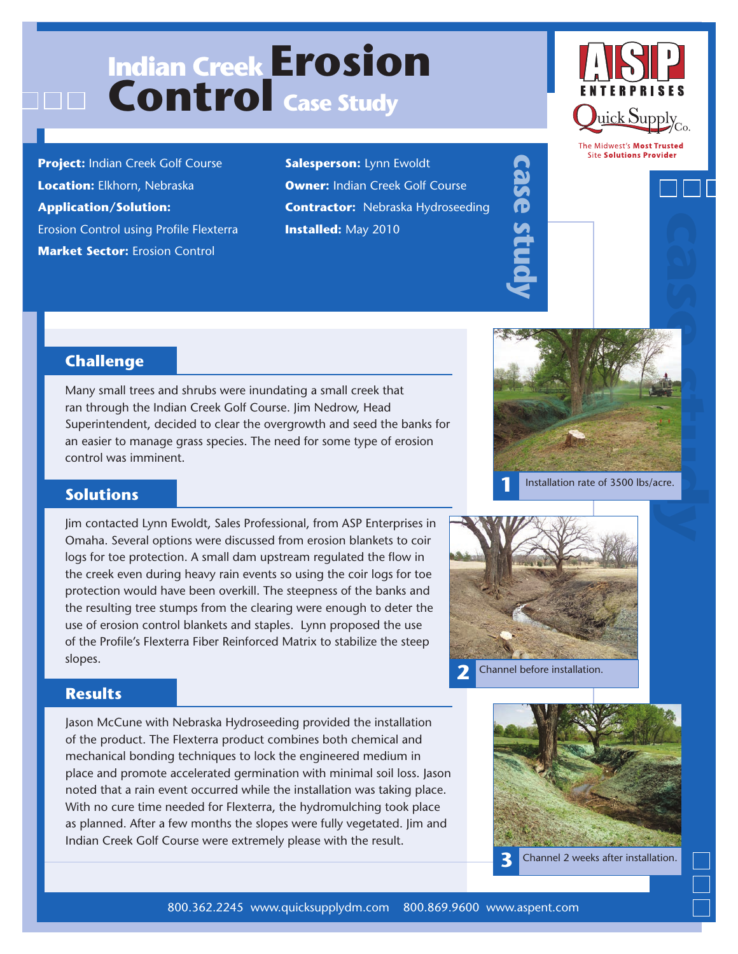# **Indian Creek Erosion Control Case Study**

**Project:** Indian Creek Golf Course **Location:** Elkhorn, Nebraska **Application/Solution:**  Erosion Control using Profile Flexterra **Market Sector: Erosion Control** 

**Salesperson:** Lynn Ewoldt **Owner: Indian Creek Golf Course Contractor:** Nebraska Hydroseeding **Installed:** May 2010



The Midwest's Most Trusted **Site Solutions Provider** 



# **Challenge**

Many small trees and shrubs were inundating a small creek that ran through the Indian Creek Golf Course. Jim Nedrow, Head Superintendent, decided to clear the overgrowth and seed the banks for an easier to manage grass species. The need for some type of erosion control was imminent.



#### **Solutions**

Jim contacted Lynn Ewoldt, Sales Professional, from ASP Enterprises in Omaha. Several options were discussed from erosion blankets to coir logs for toe protection. A small dam upstream regulated the flow in the creek even during heavy rain events so using the coir logs for toe protection would have been overkill. The steepness of the banks and the resulting tree stumps from the clearing were enough to deter the use of erosion control blankets and staples. Lynn proposed the use of the Profile's Flexterra Fiber Reinforced Matrix to stabilize the steep slopes.



**case study**

#### **Results**

Jason McCune with Nebraska Hydroseeding provided the installation of the product. The Flexterra product combines both chemical and mechanical bonding techniques to lock the engineered medium in place and promote accelerated germination with minimal soil loss. Jason noted that a rain event occurred while the installation was taking place. With no cure time needed for Flexterra, the hydromulching took place as planned. After a few months the slopes were fully vegetated. Jim and Indian Creek Golf Course were extremely please with the result.